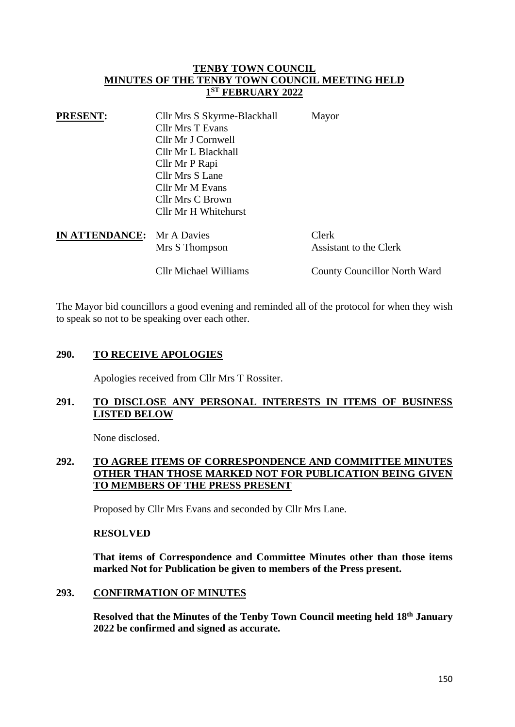### **TENBY TOWN COUNCIL MINUTES OF THE TENBY TOWN COUNCIL MEETING HELD 1 ST FEBRUARY 2022**

| <b>PRESENT:</b>                   | Cllr Mrs S Skyrme-Blackhall | Mayor        |
|-----------------------------------|-----------------------------|--------------|
|                                   | Cllr Mrs T Evans            |              |
|                                   | Cllr Mr J Cornwell          |              |
|                                   | Cllr Mr L Blackhall         |              |
|                                   | Cllr Mr P Rapi              |              |
|                                   | Cllr Mrs S Lane             |              |
|                                   | Cllr Mr M Evans             |              |
|                                   | Cllr Mrs C Brown            |              |
|                                   | Cllr Mr H Whitehurst        |              |
| <b>IN ATTENDANCE:</b> Mr A Davies |                             | Clerk        |
|                                   | Mrs S Thompson              | Assistant to |

the Clerk

Cllr Michael Williams County Councillor North Ward

The Mayor bid councillors a good evening and reminded all of the protocol for when they wish to speak so not to be speaking over each other.

## **290. TO RECEIVE APOLOGIES**

Apologies received from Cllr Mrs T Rossiter.

## **291. TO DISCLOSE ANY PERSONAL INTERESTS IN ITEMS OF BUSINESS LISTED BELOW**

None disclosed.

# **292. TO AGREE ITEMS OF CORRESPONDENCE AND COMMITTEE MINUTES OTHER THAN THOSE MARKED NOT FOR PUBLICATION BEING GIVEN TO MEMBERS OF THE PRESS PRESENT**

Proposed by Cllr Mrs Evans and seconded by Cllr Mrs Lane.

#### **RESOLVED**

**That items of Correspondence and Committee Minutes other than those items marked Not for Publication be given to members of the Press present.**

#### **293. CONFIRMATION OF MINUTES**

**Resolved that the Minutes of the Tenby Town Council meeting held 18th January 2022 be confirmed and signed as accurate.**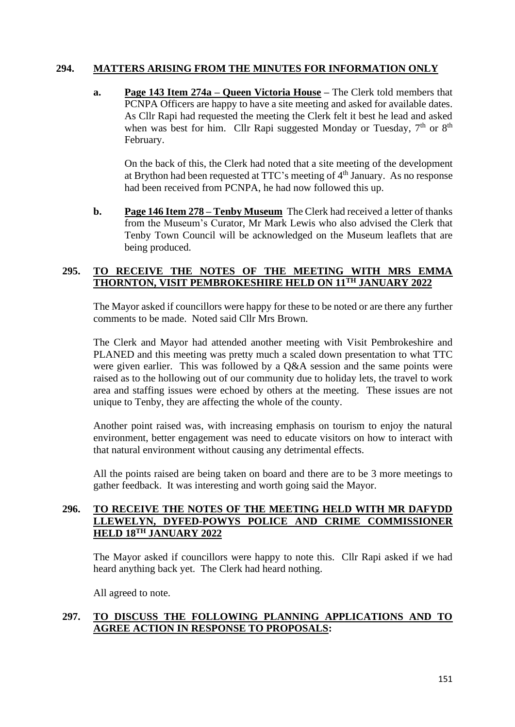## **294. MATTERS ARISING FROM THE MINUTES FOR INFORMATION ONLY**

**a. Page 143 Item 274a – Queen Victoria House –** The Clerk told members that PCNPA Officers are happy to have a site meeting and asked for available dates. As Cllr Rapi had requested the meeting the Clerk felt it best he lead and asked when was best for him. Cllr Rapi suggested Monday or Tuesday,  $7<sup>th</sup>$  or  $8<sup>th</sup>$ February.

On the back of this, the Clerk had noted that a site meeting of the development at Brython had been requested at TTC's meeting of  $4<sup>th</sup>$  January. As no response had been received from PCNPA, he had now followed this up.

**b. Page 146 Item 278 – Tenby Museum** The Clerk had received a letter of thanks from the Museum's Curator, Mr Mark Lewis who also advised the Clerk that Tenby Town Council will be acknowledged on the Museum leaflets that are being produced.

### **295. TO RECEIVE THE NOTES OF THE MEETING WITH MRS EMMA THORNTON, VISIT PEMBROKESHIRE HELD ON 11TH JANUARY 2022**

The Mayor asked if councillors were happy for these to be noted or are there any further comments to be made. Noted said Cllr Mrs Brown.

The Clerk and Mayor had attended another meeting with Visit Pembrokeshire and PLANED and this meeting was pretty much a scaled down presentation to what TTC were given earlier. This was followed by a Q&A session and the same points were raised as to the hollowing out of our community due to holiday lets, the travel to work area and staffing issues were echoed by others at the meeting. These issues are not unique to Tenby, they are affecting the whole of the county.

Another point raised was, with increasing emphasis on tourism to enjoy the natural environment, better engagement was need to educate visitors on how to interact with that natural environment without causing any detrimental effects.

All the points raised are being taken on board and there are to be 3 more meetings to gather feedback. It was interesting and worth going said the Mayor.

# **296. TO RECEIVE THE NOTES OF THE MEETING HELD WITH MR DAFYDD LLEWELYN, DYFED-POWYS POLICE AND CRIME COMMISSIONER HELD 18TH JANUARY 2022**

The Mayor asked if councillors were happy to note this. Cllr Rapi asked if we had heard anything back yet. The Clerk had heard nothing.

All agreed to note.

## **297. TO DISCUSS THE FOLLOWING PLANNING APPLICATIONS AND TO AGREE ACTION IN RESPONSE TO PROPOSALS:**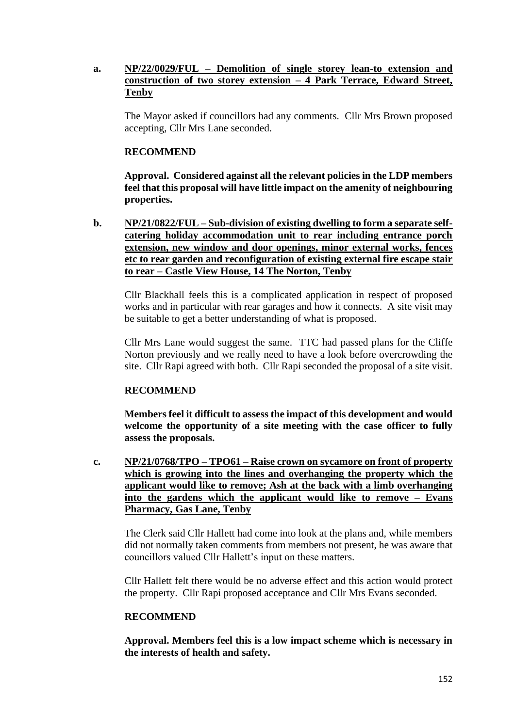## **a. NP/22/0029/FUL – Demolition of single storey lean-to extension and construction of two storey extension – 4 Park Terrace, Edward Street, Tenby**

The Mayor asked if councillors had any comments. Cllr Mrs Brown proposed accepting, Cllr Mrs Lane seconded.

### **RECOMMEND**

**Approval. Considered against all the relevant policies in the LDP members feel that this proposal will have little impact on the amenity of neighbouring properties.**

**b. NP/21/0822/FUL – Sub-division of existing dwelling to form a separate selfcatering holiday accommodation unit to rear including entrance porch extension, new window and door openings, minor external works, fences etc to rear garden and reconfiguration of existing external fire escape stair to rear – Castle View House, 14 The Norton, Tenby**

Cllr Blackhall feels this is a complicated application in respect of proposed works and in particular with rear garages and how it connects. A site visit may be suitable to get a better understanding of what is proposed.

Cllr Mrs Lane would suggest the same. TTC had passed plans for the Cliffe Norton previously and we really need to have a look before overcrowding the site. Cllr Rapi agreed with both. Cllr Rapi seconded the proposal of a site visit.

## **RECOMMEND**

**Members feel it difficult to assess the impact of this development and would welcome the opportunity of a site meeting with the case officer to fully assess the proposals.**

**c. NP/21/0768/TPO – TPO61 – Raise crown on sycamore on front of property which is growing into the lines and overhanging the property which the applicant would like to remove; Ash at the back with a limb overhanging into the gardens which the applicant would like to remove – Evans Pharmacy, Gas Lane, Tenby**

The Clerk said Cllr Hallett had come into look at the plans and, while members did not normally taken comments from members not present, he was aware that councillors valued Cllr Hallett's input on these matters.

Cllr Hallett felt there would be no adverse effect and this action would protect the property. Cllr Rapi proposed acceptance and Cllr Mrs Evans seconded.

#### **RECOMMEND**

**Approval. Members feel this is a low impact scheme which is necessary in the interests of health and safety.**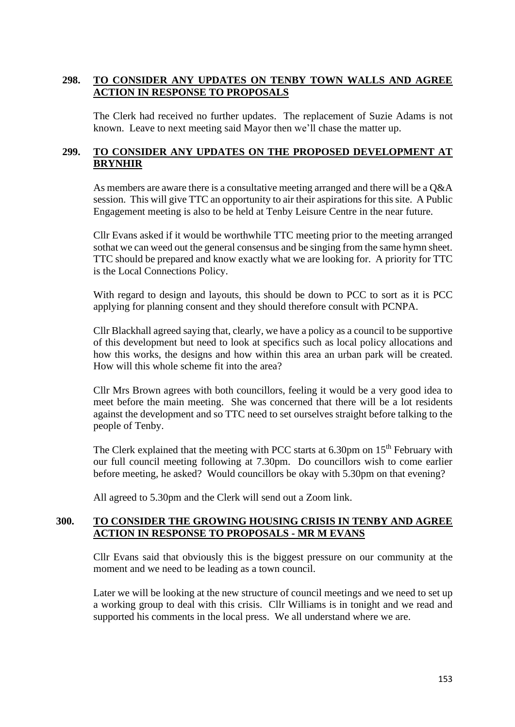## **298. TO CONSIDER ANY UPDATES ON TENBY TOWN WALLS AND AGREE ACTION IN RESPONSE TO PROPOSALS**

The Clerk had received no further updates. The replacement of Suzie Adams is not known. Leave to next meeting said Mayor then we'll chase the matter up.

### **299. TO CONSIDER ANY UPDATES ON THE PROPOSED DEVELOPMENT AT BRYNHIR**

As members are aware there is a consultative meeting arranged and there will be a Q&A session. This will give TTC an opportunity to air their aspirations for this site. A Public Engagement meeting is also to be held at Tenby Leisure Centre in the near future.

Cllr Evans asked if it would be worthwhile TTC meeting prior to the meeting arranged sothat we can weed out the general consensus and be singing from the same hymn sheet. TTC should be prepared and know exactly what we are looking for. A priority for TTC is the Local Connections Policy.

With regard to design and layouts, this should be down to PCC to sort as it is PCC applying for planning consent and they should therefore consult with PCNPA.

Cllr Blackhall agreed saying that, clearly, we have a policy as a council to be supportive of this development but need to look at specifics such as local policy allocations and how this works, the designs and how within this area an urban park will be created. How will this whole scheme fit into the area?

Cllr Mrs Brown agrees with both councillors, feeling it would be a very good idea to meet before the main meeting. She was concerned that there will be a lot residents against the development and so TTC need to set ourselves straight before talking to the people of Tenby.

The Clerk explained that the meeting with PCC starts at 6.30pm on 15<sup>th</sup> February with our full council meeting following at 7.30pm. Do councillors wish to come earlier before meeting, he asked? Would councillors be okay with 5.30pm on that evening?

All agreed to 5.30pm and the Clerk will send out a Zoom link.

## **300. TO CONSIDER THE GROWING HOUSING CRISIS IN TENBY AND AGREE ACTION IN RESPONSE TO PROPOSALS - MR M EVANS**

Cllr Evans said that obviously this is the biggest pressure on our community at the moment and we need to be leading as a town council.

Later we will be looking at the new structure of council meetings and we need to set up a working group to deal with this crisis. Cllr Williams is in tonight and we read and supported his comments in the local press. We all understand where we are.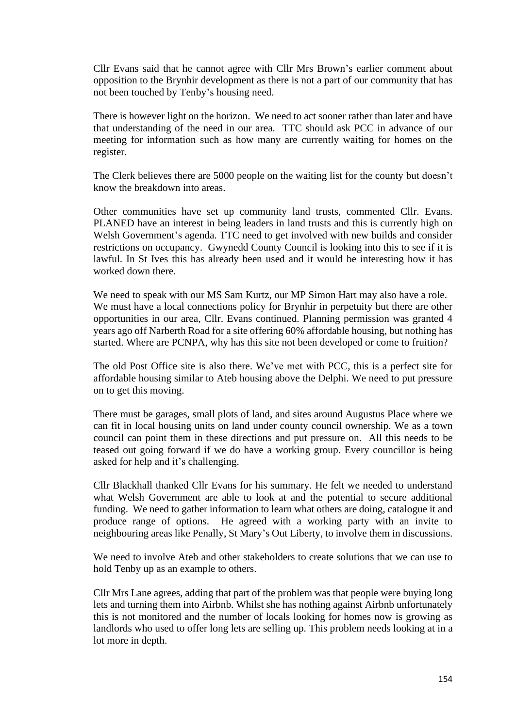Cllr Evans said that he cannot agree with Cllr Mrs Brown's earlier comment about opposition to the Brynhir development as there is not a part of our community that has not been touched by Tenby's housing need.

There is however light on the horizon. We need to act sooner rather than later and have that understanding of the need in our area. TTC should ask PCC in advance of our meeting for information such as how many are currently waiting for homes on the register.

The Clerk believes there are 5000 people on the waiting list for the county but doesn't know the breakdown into areas.

Other communities have set up community land trusts, commented Cllr. Evans. PLANED have an interest in being leaders in land trusts and this is currently high on Welsh Government's agenda. TTC need to get involved with new builds and consider restrictions on occupancy. Gwynedd County Council is looking into this to see if it is lawful. In St Ives this has already been used and it would be interesting how it has worked down there.

We need to speak with our MS Sam Kurtz, our MP Simon Hart may also have a role. We must have a local connections policy for Brynhir in perpetuity but there are other opportunities in our area, Cllr. Evans continued. Planning permission was granted 4 years ago off Narberth Road for a site offering 60% affordable housing, but nothing has started. Where are PCNPA, why has this site not been developed or come to fruition?

The old Post Office site is also there. We've met with PCC, this is a perfect site for affordable housing similar to Ateb housing above the Delphi. We need to put pressure on to get this moving.

There must be garages, small plots of land, and sites around Augustus Place where we can fit in local housing units on land under county council ownership. We as a town council can point them in these directions and put pressure on. All this needs to be teased out going forward if we do have a working group. Every councillor is being asked for help and it's challenging.

Cllr Blackhall thanked Cllr Evans for his summary. He felt we needed to understand what Welsh Government are able to look at and the potential to secure additional funding. We need to gather information to learn what others are doing, catalogue it and produce range of options. He agreed with a working party with an invite to neighbouring areas like Penally, St Mary's Out Liberty, to involve them in discussions.

We need to involve Ateb and other stakeholders to create solutions that we can use to hold Tenby up as an example to others.

Cllr Mrs Lane agrees, adding that part of the problem was that people were buying long lets and turning them into Airbnb. Whilst she has nothing against Airbnb unfortunately this is not monitored and the number of locals looking for homes now is growing as landlords who used to offer long lets are selling up. This problem needs looking at in a lot more in depth.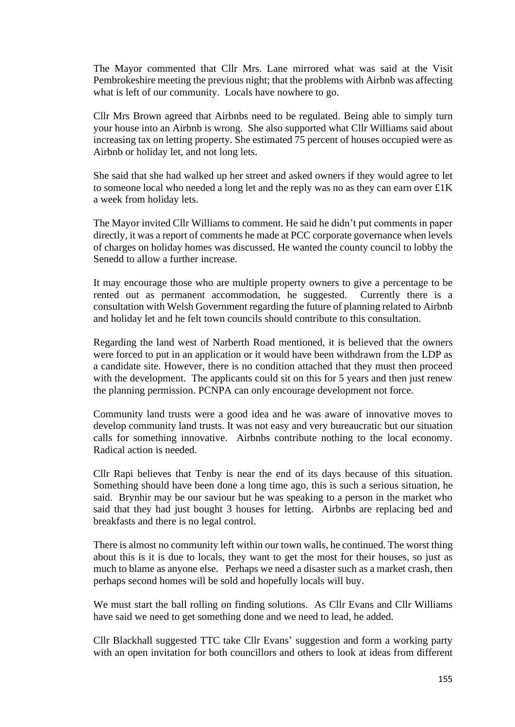The Mayor commented that Cllr Mrs. Lane mirrored what was said at the Visit Pembrokeshire meeting the previous night; that the problems with Airbnb was affecting what is left of our community. Locals have nowhere to go.

Cllr Mrs Brown agreed that Airbnbs need to be regulated. Being able to simply turn your house into an Airbnb is wrong. She also supported what Cllr Williams said about increasing tax on letting property. She estimated 75 percent of houses occupied were as Airbnb or holiday let, and not long lets.

She said that she had walked up her street and asked owners if they would agree to let to someone local who needed a long let and the reply was no as they can earn over £1K a week from holiday lets.

The Mayor invited Cllr Williams to comment. He said he didn't put comments in paper directly, it was a report of comments he made at PCC corporate governance when levels of charges on holiday homes was discussed. He wanted the county council to lobby the Senedd to allow a further increase.

It may encourage those who are multiple property owners to give a percentage to be rented out as permanent accommodation, he suggested. Currently there is a consultation with Welsh Government regarding the future of planning related to Airbnb and holiday let and he felt town councils should contribute to this consultation.

Regarding the land west of Narberth Road mentioned, it is believed that the owners were forced to put in an application or it would have been withdrawn from the LDP as a candidate site. However, there is no condition attached that they must then proceed with the development. The applicants could sit on this for 5 years and then just renew the planning permission. PCNPA can only encourage development not force.

Community land trusts were a good idea and he was aware of innovative moves to develop community land trusts. It was not easy and very bureaucratic but our situation calls for something innovative. Airbnbs contribute nothing to the local economy. Radical action is needed.

Cllr Rapi believes that Tenby is near the end of its days because of this situation. Something should have been done a long time ago, this is such a serious situation, he said. Brynhir may be our saviour but he was speaking to a person in the market who said that they had just bought 3 houses for letting. Airbnbs are replacing bed and breakfasts and there is no legal control.

There is almost no community left within our town walls, he continued. The worst thing about this is it is due to locals, they want to get the most for their houses, so just as much to blame as anyone else. Perhaps we need a disaster such as a market crash, then perhaps second homes will be sold and hopefully locals will buy.

We must start the ball rolling on finding solutions. As Cllr Evans and Cllr Williams have said we need to get something done and we need to lead, he added.

Cllr Blackhall suggested TTC take Cllr Evans' suggestion and form a working party with an open invitation for both councillors and others to look at ideas from different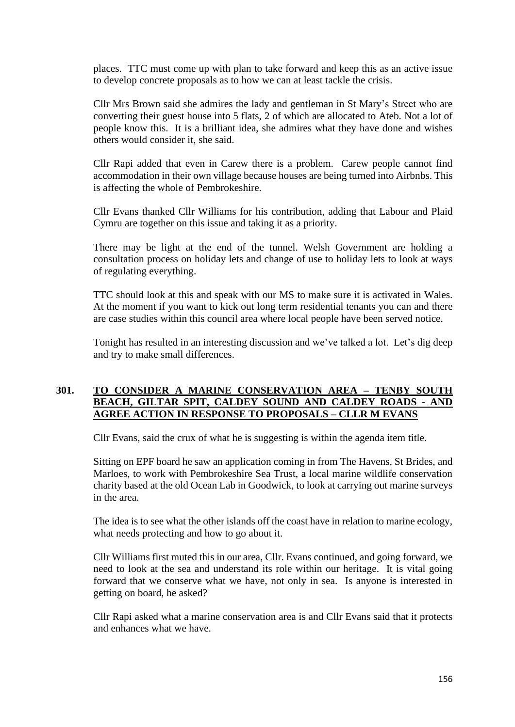places. TTC must come up with plan to take forward and keep this as an active issue to develop concrete proposals as to how we can at least tackle the crisis.

Cllr Mrs Brown said she admires the lady and gentleman in St Mary's Street who are converting their guest house into 5 flats, 2 of which are allocated to Ateb. Not a lot of people know this. It is a brilliant idea, she admires what they have done and wishes others would consider it, she said.

Cllr Rapi added that even in Carew there is a problem. Carew people cannot find accommodation in their own village because houses are being turned into Airbnbs. This is affecting the whole of Pembrokeshire.

Cllr Evans thanked Cllr Williams for his contribution, adding that Labour and Plaid Cymru are together on this issue and taking it as a priority.

There may be light at the end of the tunnel. Welsh Government are holding a consultation process on holiday lets and change of use to holiday lets to look at ways of regulating everything.

TTC should look at this and speak with our MS to make sure it is activated in Wales. At the moment if you want to kick out long term residential tenants you can and there are case studies within this council area where local people have been served notice.

Tonight has resulted in an interesting discussion and we've talked a lot. Let's dig deep and try to make small differences.

### **301. TO CONSIDER A MARINE CONSERVATION AREA – TENBY SOUTH BEACH, GILTAR SPIT, CALDEY SOUND AND CALDEY ROADS - AND AGREE ACTION IN RESPONSE TO PROPOSALS – CLLR M EVANS**

Cllr Evans, said the crux of what he is suggesting is within the agenda item title.

Sitting on EPF board he saw an application coming in from The Havens, St Brides, and Marloes, to work with Pembrokeshire Sea Trust, a local marine wildlife conservation charity based at the old Ocean Lab in Goodwick, to look at carrying out marine surveys in the area.

The idea is to see what the other islands off the coast have in relation to marine ecology, what needs protecting and how to go about it.

Cllr Williams first muted this in our area, Cllr. Evans continued, and going forward, we need to look at the sea and understand its role within our heritage. It is vital going forward that we conserve what we have, not only in sea. Is anyone is interested in getting on board, he asked?

Cllr Rapi asked what a marine conservation area is and Cllr Evans said that it protects and enhances what we have.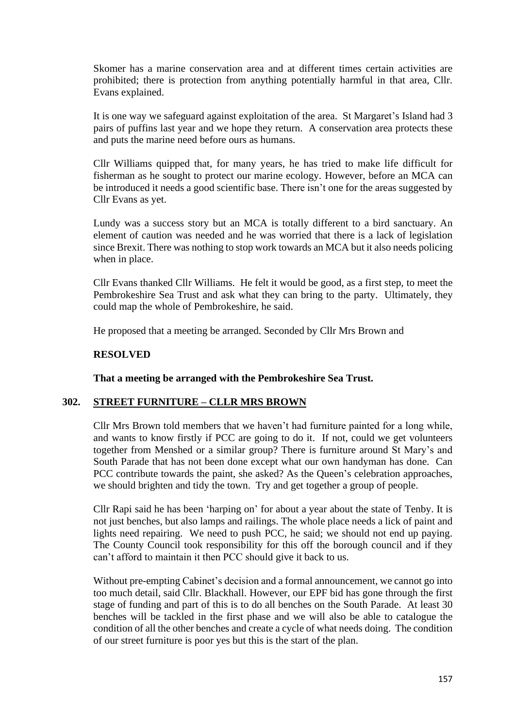Skomer has a marine conservation area and at different times certain activities are prohibited; there is protection from anything potentially harmful in that area, Cllr. Evans explained.

It is one way we safeguard against exploitation of the area. St Margaret's Island had 3 pairs of puffins last year and we hope they return. A conservation area protects these and puts the marine need before ours as humans.

Cllr Williams quipped that, for many years, he has tried to make life difficult for fisherman as he sought to protect our marine ecology. However, before an MCA can be introduced it needs a good scientific base. There isn't one for the areas suggested by Cllr Evans as yet.

Lundy was a success story but an MCA is totally different to a bird sanctuary. An element of caution was needed and he was worried that there is a lack of legislation since Brexit. There was nothing to stop work towards an MCA but it also needs policing when in place.

Cllr Evans thanked Cllr Williams. He felt it would be good, as a first step, to meet the Pembrokeshire Sea Trust and ask what they can bring to the party. Ultimately, they could map the whole of Pembrokeshire, he said.

He proposed that a meeting be arranged. Seconded by Cllr Mrs Brown and

### **RESOLVED**

**That a meeting be arranged with the Pembrokeshire Sea Trust.**

## **302. STREET FURNITURE – CLLR MRS BROWN**

Cllr Mrs Brown told members that we haven't had furniture painted for a long while, and wants to know firstly if PCC are going to do it. If not, could we get volunteers together from Menshed or a similar group? There is furniture around St Mary's and South Parade that has not been done except what our own handyman has done. Can PCC contribute towards the paint, she asked? As the Queen's celebration approaches, we should brighten and tidy the town. Try and get together a group of people.

Cllr Rapi said he has been 'harping on' for about a year about the state of Tenby. It is not just benches, but also lamps and railings. The whole place needs a lick of paint and lights need repairing. We need to push PCC, he said; we should not end up paying. The County Council took responsibility for this off the borough council and if they can't afford to maintain it then PCC should give it back to us.

Without pre-empting Cabinet's decision and a formal announcement, we cannot go into too much detail, said Cllr. Blackhall. However, our EPF bid has gone through the first stage of funding and part of this is to do all benches on the South Parade. At least 30 benches will be tackled in the first phase and we will also be able to catalogue the condition of all the other benches and create a cycle of what needs doing. The condition of our street furniture is poor yes but this is the start of the plan.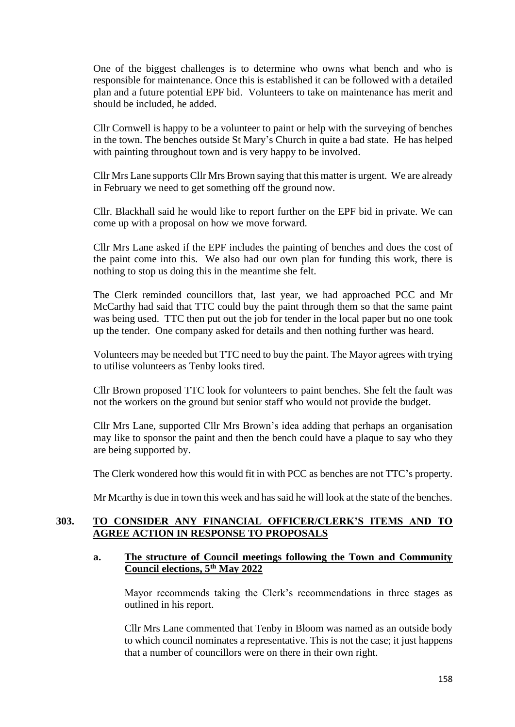One of the biggest challenges is to determine who owns what bench and who is responsible for maintenance. Once this is established it can be followed with a detailed plan and a future potential EPF bid. Volunteers to take on maintenance has merit and should be included, he added.

Cllr Cornwell is happy to be a volunteer to paint or help with the surveying of benches in the town. The benches outside St Mary's Church in quite a bad state. He has helped with painting throughout town and is very happy to be involved.

Cllr Mrs Lane supports Cllr Mrs Brown saying that this matter is urgent. We are already in February we need to get something off the ground now.

Cllr. Blackhall said he would like to report further on the EPF bid in private. We can come up with a proposal on how we move forward.

Cllr Mrs Lane asked if the EPF includes the painting of benches and does the cost of the paint come into this. We also had our own plan for funding this work, there is nothing to stop us doing this in the meantime she felt.

The Clerk reminded councillors that, last year, we had approached PCC and Mr McCarthy had said that TTC could buy the paint through them so that the same paint was being used. TTC then put out the job for tender in the local paper but no one took up the tender. One company asked for details and then nothing further was heard.

Volunteers may be needed but TTC need to buy the paint. The Mayor agrees with trying to utilise volunteers as Tenby looks tired.

Cllr Brown proposed TTC look for volunteers to paint benches. She felt the fault was not the workers on the ground but senior staff who would not provide the budget.

Cllr Mrs Lane, supported Cllr Mrs Brown's idea adding that perhaps an organisation may like to sponsor the paint and then the bench could have a plaque to say who they are being supported by.

The Clerk wondered how this would fit in with PCC as benches are not TTC's property.

Mr Mcarthy is due in town this week and has said he will look at the state of the benches.

## **303. TO CONSIDER ANY FINANCIAL OFFICER/CLERK'S ITEMS AND TO AGREE ACTION IN RESPONSE TO PROPOSALS**

#### **a. The structure of Council meetings following the Town and Community Council elections, 5th May 2022**

Mayor recommends taking the Clerk's recommendations in three stages as outlined in his report.

Cllr Mrs Lane commented that Tenby in Bloom was named as an outside body to which council nominates a representative. This is not the case; it just happens that a number of councillors were on there in their own right.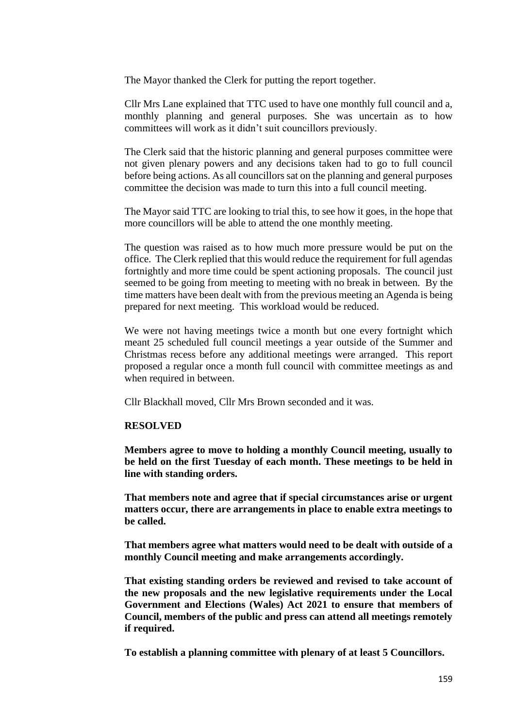The Mayor thanked the Clerk for putting the report together.

Cllr Mrs Lane explained that TTC used to have one monthly full council and a, monthly planning and general purposes. She was uncertain as to how committees will work as it didn't suit councillors previously.

The Clerk said that the historic planning and general purposes committee were not given plenary powers and any decisions taken had to go to full council before being actions. As all councillors sat on the planning and general purposes committee the decision was made to turn this into a full council meeting.

The Mayor said TTC are looking to trial this, to see how it goes, in the hope that more councillors will be able to attend the one monthly meeting.

The question was raised as to how much more pressure would be put on the office. The Clerk replied that this would reduce the requirement for full agendas fortnightly and more time could be spent actioning proposals. The council just seemed to be going from meeting to meeting with no break in between. By the time matters have been dealt with from the previous meeting an Agenda is being prepared for next meeting. This workload would be reduced.

We were not having meetings twice a month but one every fortnight which meant 25 scheduled full council meetings a year outside of the Summer and Christmas recess before any additional meetings were arranged. This report proposed a regular once a month full council with committee meetings as and when required in between.

Cllr Blackhall moved, Cllr Mrs Brown seconded and it was.

#### **RESOLVED**

**Members agree to move to holding a monthly Council meeting, usually to be held on the first Tuesday of each month. These meetings to be held in line with standing orders.**

**That members note and agree that if special circumstances arise or urgent matters occur, there are arrangements in place to enable extra meetings to be called.**

**That members agree what matters would need to be dealt with outside of a monthly Council meeting and make arrangements accordingly.**

**That existing standing orders be reviewed and revised to take account of the new proposals and the new legislative requirements under the Local Government and Elections (Wales) Act 2021 to ensure that members of Council, members of the public and press can attend all meetings remotely if required.**

**To establish a planning committee with plenary of at least 5 Councillors.**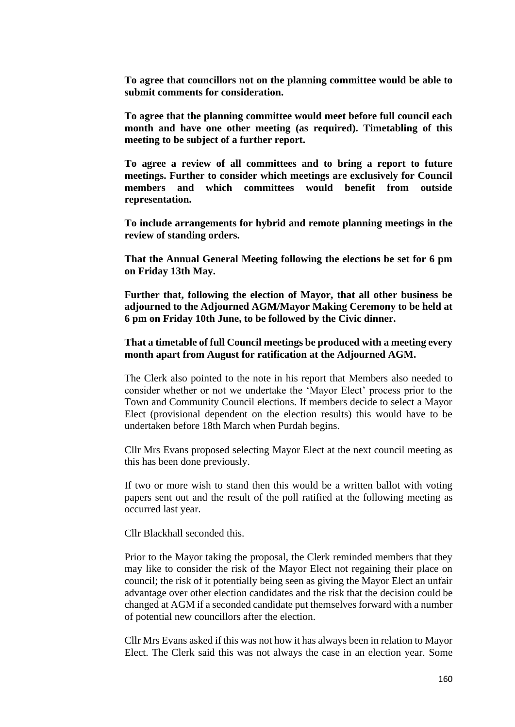**To agree that councillors not on the planning committee would be able to submit comments for consideration.**

**To agree that the planning committee would meet before full council each month and have one other meeting (as required). Timetabling of this meeting to be subject of a further report.**

**To agree a review of all committees and to bring a report to future meetings. Further to consider which meetings are exclusively for Council members and which committees would benefit from outside representation.**

**To include arrangements for hybrid and remote planning meetings in the review of standing orders.**

**That the Annual General Meeting following the elections be set for 6 pm on Friday 13th May.**

**Further that, following the election of Mayor, that all other business be adjourned to the Adjourned AGM/Mayor Making Ceremony to be held at 6 pm on Friday 10th June, to be followed by the Civic dinner.**

#### **That a timetable of full Council meetings be produced with a meeting every month apart from August for ratification at the Adjourned AGM.**

The Clerk also pointed to the note in his report that Members also needed to consider whether or not we undertake the 'Mayor Elect' process prior to the Town and Community Council elections. If members decide to select a Mayor Elect (provisional dependent on the election results) this would have to be undertaken before 18th March when Purdah begins.

Cllr Mrs Evans proposed selecting Mayor Elect at the next council meeting as this has been done previously.

If two or more wish to stand then this would be a written ballot with voting papers sent out and the result of the poll ratified at the following meeting as occurred last year.

Cllr Blackhall seconded this.

Prior to the Mayor taking the proposal, the Clerk reminded members that they may like to consider the risk of the Mayor Elect not regaining their place on council; the risk of it potentially being seen as giving the Mayor Elect an unfair advantage over other election candidates and the risk that the decision could be changed at AGM if a seconded candidate put themselves forward with a number of potential new councillors after the election.

Cllr Mrs Evans asked if this was not how it has always been in relation to Mayor Elect. The Clerk said this was not always the case in an election year. Some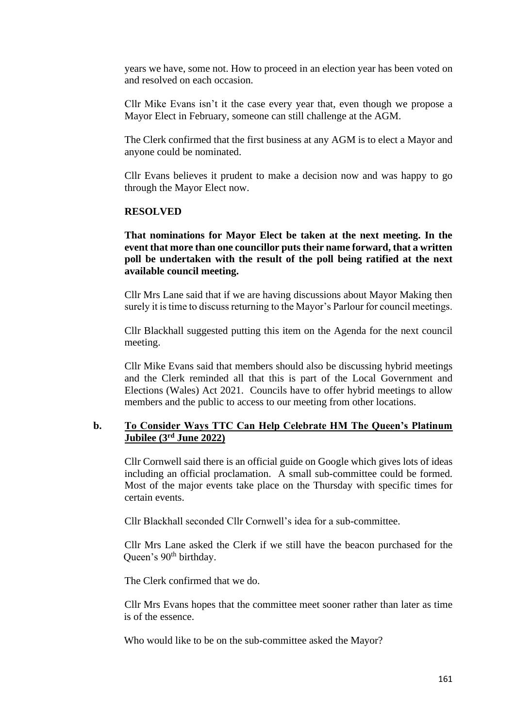years we have, some not. How to proceed in an election year has been voted on and resolved on each occasion.

Cllr Mike Evans isn't it the case every year that, even though we propose a Mayor Elect in February, someone can still challenge at the AGM.

The Clerk confirmed that the first business at any AGM is to elect a Mayor and anyone could be nominated.

Cllr Evans believes it prudent to make a decision now and was happy to go through the Mayor Elect now.

#### **RESOLVED**

**That nominations for Mayor Elect be taken at the next meeting. In the event that more than one councillor puts their name forward, that a written poll be undertaken with the result of the poll being ratified at the next available council meeting.**

Cllr Mrs Lane said that if we are having discussions about Mayor Making then surely it is time to discuss returning to the Mayor's Parlour for council meetings.

Cllr Blackhall suggested putting this item on the Agenda for the next council meeting.

Cllr Mike Evans said that members should also be discussing hybrid meetings and the Clerk reminded all that this is part of the Local Government and Elections (Wales) Act 2021. Councils have to offer hybrid meetings to allow members and the public to access to our meeting from other locations.

### **b. To Consider Ways TTC Can Help Celebrate HM The Queen's Platinum Jubilee (3rd June 2022)**

Cllr Cornwell said there is an official guide on Google which gives lots of ideas including an official proclamation. A small sub-committee could be formed. Most of the major events take place on the Thursday with specific times for certain events.

Cllr Blackhall seconded Cllr Cornwell's idea for a sub-committee.

Cllr Mrs Lane asked the Clerk if we still have the beacon purchased for the Queen's 90<sup>th</sup> birthday.

The Clerk confirmed that we do.

Cllr Mrs Evans hopes that the committee meet sooner rather than later as time is of the essence.

Who would like to be on the sub-committee asked the Mayor?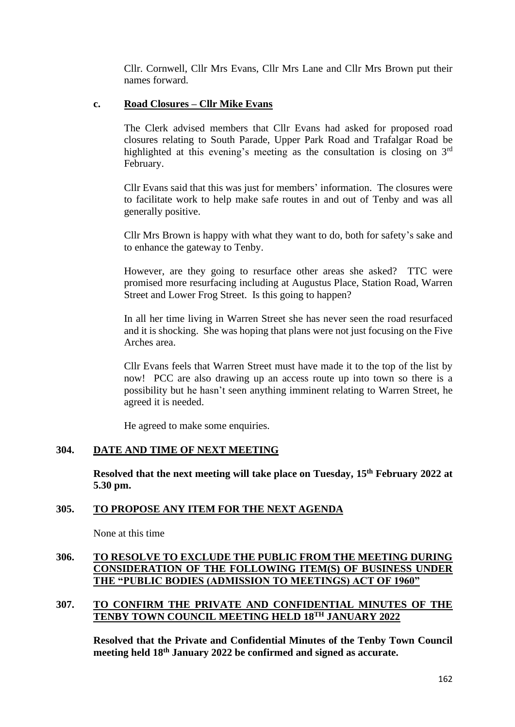Cllr. Cornwell, Cllr Mrs Evans, Cllr Mrs Lane and Cllr Mrs Brown put their names forward.

### **c. Road Closures – Cllr Mike Evans**

The Clerk advised members that Cllr Evans had asked for proposed road closures relating to South Parade, Upper Park Road and Trafalgar Road be highlighted at this evening's meeting as the consultation is closing on 3<sup>rd</sup> February.

Cllr Evans said that this was just for members' information. The closures were to facilitate work to help make safe routes in and out of Tenby and was all generally positive.

Cllr Mrs Brown is happy with what they want to do, both for safety's sake and to enhance the gateway to Tenby.

However, are they going to resurface other areas she asked? TTC were promised more resurfacing including at Augustus Place, Station Road, Warren Street and Lower Frog Street. Is this going to happen?

In all her time living in Warren Street she has never seen the road resurfaced and it is shocking. She was hoping that plans were not just focusing on the Five Arches area.

Cllr Evans feels that Warren Street must have made it to the top of the list by now! PCC are also drawing up an access route up into town so there is a possibility but he hasn't seen anything imminent relating to Warren Street, he agreed it is needed.

He agreed to make some enquiries.

## **304. DATE AND TIME OF NEXT MEETING**

**Resolved that the next meeting will take place on Tuesday, 15th February 2022 at 5.30 pm.**

## **305. TO PROPOSE ANY ITEM FOR THE NEXT AGENDA**

None at this time

## **306. TO RESOLVE TO EXCLUDE THE PUBLIC FROM THE MEETING DURING CONSIDERATION OF THE FOLLOWING ITEM(S) OF BUSINESS UNDER THE "PUBLIC BODIES (ADMISSION TO MEETINGS) ACT OF 1960"**

### **307. TO CONFIRM THE PRIVATE AND CONFIDENTIAL MINUTES OF THE TENBY TOWN COUNCIL MEETING HELD 18TH JANUARY 2022**

**Resolved that the Private and Confidential Minutes of the Tenby Town Council meeting held 18th January 2022 be confirmed and signed as accurate.**